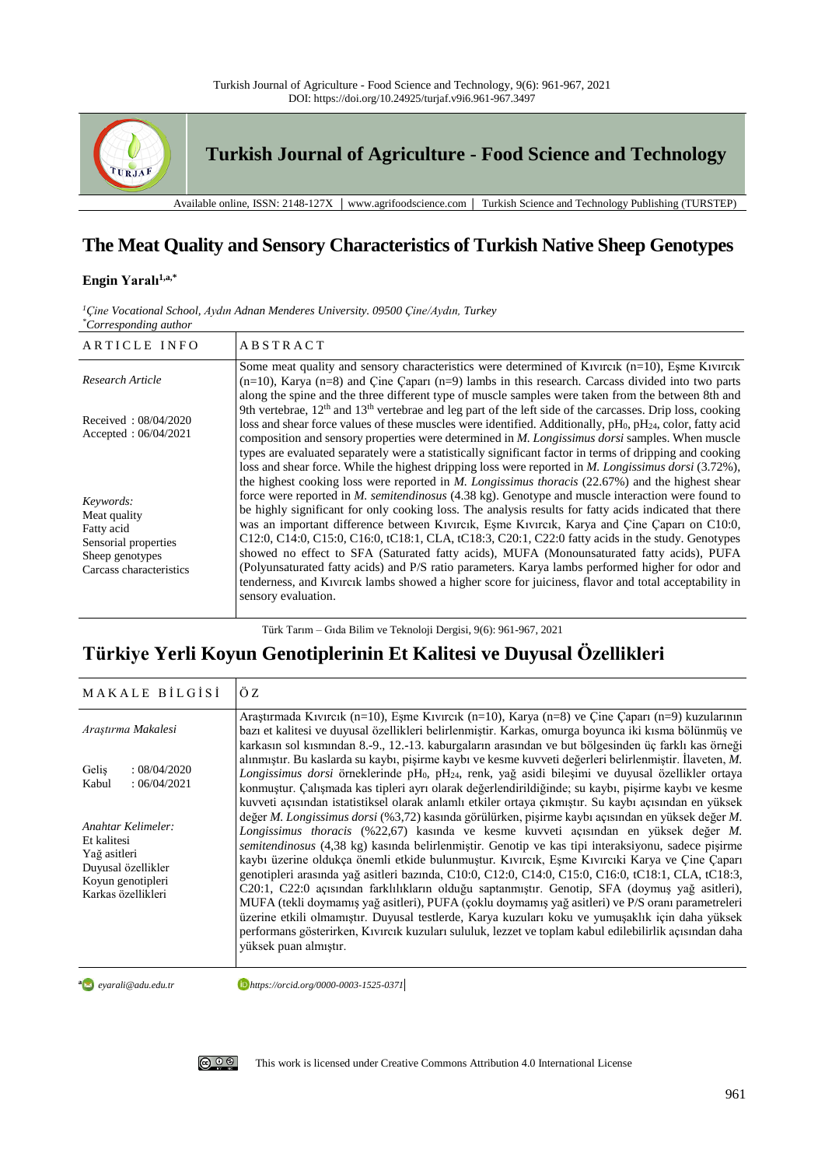

# **The Meat Quality and Sensory Characteristics of Turkish Native Sheep Genotypes**

# **Engin Yaralı1,a,\***

| $\sim$ . $\sim$ . $\sim$ . $\sim$ . $\sim$ . $\sim$ .                                                         |                                                                                                                                                                                                                                                                                                                                                                                                                                                                                                                                                                                                                                                                                                                                                                                                                                                                  |
|---------------------------------------------------------------------------------------------------------------|------------------------------------------------------------------------------------------------------------------------------------------------------------------------------------------------------------------------------------------------------------------------------------------------------------------------------------------------------------------------------------------------------------------------------------------------------------------------------------------------------------------------------------------------------------------------------------------------------------------------------------------------------------------------------------------------------------------------------------------------------------------------------------------------------------------------------------------------------------------|
| ARTICLE INFO                                                                                                  | <b>ABSTRACT</b>                                                                                                                                                                                                                                                                                                                                                                                                                                                                                                                                                                                                                                                                                                                                                                                                                                                  |
| Research Article                                                                                              | Some meat quality and sensory characteristics were determined of Kivircik $(n=10)$ , Esme Kivircik<br>$(n=10)$ , Karya $(n=8)$ and Çine Çaparı $(n=9)$ lambs in this research. Carcass divided into two parts<br>along the spine and the three different type of muscle samples were taken from the between 8th and                                                                                                                                                                                                                                                                                                                                                                                                                                                                                                                                              |
| Received: 08/04/2020<br>Accepted: $06/04/2021$                                                                | 9th vertebrae, $12th$ and $13th$ vertebrae and leg part of the left side of the carcasses. Drip loss, cooking<br>loss and shear force values of these muscles were identified. Additionally, pH <sub>0</sub> , pH <sub>24</sub> , color, fatty acid<br>composition and sensory properties were determined in <i>M. Longissimus dorsi</i> samples. When muscle<br>types are evaluated separately were a statistically significant factor in terms of dripping and cooking<br>loss and shear force. While the highest dripping loss were reported in <i>M. Longissimus dorsi</i> (3.72%),                                                                                                                                                                                                                                                                          |
| Keywords:<br>Meat quality<br>Fatty acid<br>Sensorial properties<br>Sheep genotypes<br>Carcass characteristics | the highest cooking loss were reported in $M$ . Longissimus thoracis (22.67%) and the highest shear<br>force were reported in <i>M. semitendinosus</i> (4.38 kg). Genotype and muscle interaction were found to<br>be highly significant for only cooking loss. The analysis results for fatty acids indicated that there<br>was an important difference between Kivircik, Eşme Kivircik, Karya and Çine Çaparı on C10:0,<br>C12:0, C14:0, C15:0, C16:0, tC18:1, CLA, tC18:3, C20:1, C22:0 fatty acids in the study. Genotypes<br>showed no effect to SFA (Saturated fatty acids), MUFA (Monounsaturated fatty acids), PUFA<br>(Polyunsaturated fatty acids) and P/S ratio parameters. Karya lambs performed higher for odor and<br>tenderness, and Kıvırcık lambs showed a higher score for juiciness, flavor and total acceptability in<br>sensory evaluation. |

*<sup>1</sup>Çine Vocational School, Aydın Adnan Menderes University. 09500 Çine/Aydın, Turkey \*Corresponding author*

Türk Tarım – Gıda Bilim ve Teknoloji Dergisi, 9(6): 961-967, 2021

# **Türkiye Yerli Koyun Genotiplerinin Et Kalitesi ve Duyusal Özellikleri**

| MAKALE BILGISI                                                                                                     | ÖZ                                                                                                                                                                                                                                                                                                                                                                                                                                                                                                                                                                                                                                                                                                                                                                                                                                                                                                                                                   |
|--------------------------------------------------------------------------------------------------------------------|------------------------------------------------------------------------------------------------------------------------------------------------------------------------------------------------------------------------------------------------------------------------------------------------------------------------------------------------------------------------------------------------------------------------------------------------------------------------------------------------------------------------------------------------------------------------------------------------------------------------------------------------------------------------------------------------------------------------------------------------------------------------------------------------------------------------------------------------------------------------------------------------------------------------------------------------------|
| Araştırma Makalesi                                                                                                 | Araştırmada Kıvırcık (n=10), Eşme Kıvırcık (n=10), Karya (n=8) ve Çine Çaparı (n=9) kuzularının<br>bazı et kalitesi ve duyusal özellikleri belirlenmiştir. Karkas, omurga boyunca iki kısma bölünmüş ve<br>karkasın sol kısmından 8.-9., 12.-13. kaburgaların arasından ve but bölgesinden üç farklı kas örneği                                                                                                                                                                                                                                                                                                                                                                                                                                                                                                                                                                                                                                      |
| Gelis<br>: 08/04/2020<br>:06/04/2021<br>Kabul                                                                      | alınmıştır. Bu kaslarda su kaybı, pişirme kaybı ve kesme kuvveti değerleri belirlenmiştir. İlaveten, M.<br>Longissimus dorsi örneklerinde pH <sub>0</sub> , pH <sub>24</sub> , renk, yağ asidi bileşimi ve duyusal özellikler ortaya<br>konmuştur. Çalışmada kas tipleri ayrı olarak değerlendirildiğinde; su kaybı, pişirme kaybı ve kesme<br>kuvveti açısından istatistiksel olarak anlamlı etkiler ortaya çıkmıştır. Su kaybı açısından en yüksek                                                                                                                                                                                                                                                                                                                                                                                                                                                                                                 |
| Anahtar Kelimeler:<br>Et kalitesi<br>Yağ asitleri<br>Duyusal özellikler<br>Koyun genotipleri<br>Karkas özellikleri | değer M. Longissimus dorsi (%3,72) kasında görülürken, pişirme kaybı açısından en yüksek değer M.<br>Longissimus thoracis (%22,67) kasında ve kesme kuvveti açısından en yüksek değer M.<br>semitendinosus (4,38 kg) kasında belirlenmiştir. Genotip ve kas tipi interaksiyonu, sadece pişirme<br>kaybı üzerine oldukça önemli etkide bulunmuştur. Kıvırcık, Eşme Kıvırcıki Karya ve Çine Çaparı<br>genotipleri arasında yağ asitleri bazında, C10:0, C12:0, C14:0, C15:0, C16:0, tC18:1, CLA, tC18:3,<br>C20:1, C22:0 açısından farklılıkların olduğu saptanmıştır. Genotip, SFA (doymuş yağ asitleri),<br>MUFA (tekli doymamış yağ asitleri), PUFA (çoklu doymamış yağ asitleri) ve P/S oranı parametreleri<br>üzerine etkili olmamıştır. Duyusal testlerde, Karya kuzuları koku ve yumuşaklık için daha yüksek<br>performans gösterirken, Kıvırcık kuzuları sululuk, lezzet ve toplam kabul edilebilirlik açısından daha<br>yüksek puan almıştır. |

**a** evarali@adu.edu.tr

*eyarali@adu.edu.tr https://orcid.org/0000-0003-1525-0371*

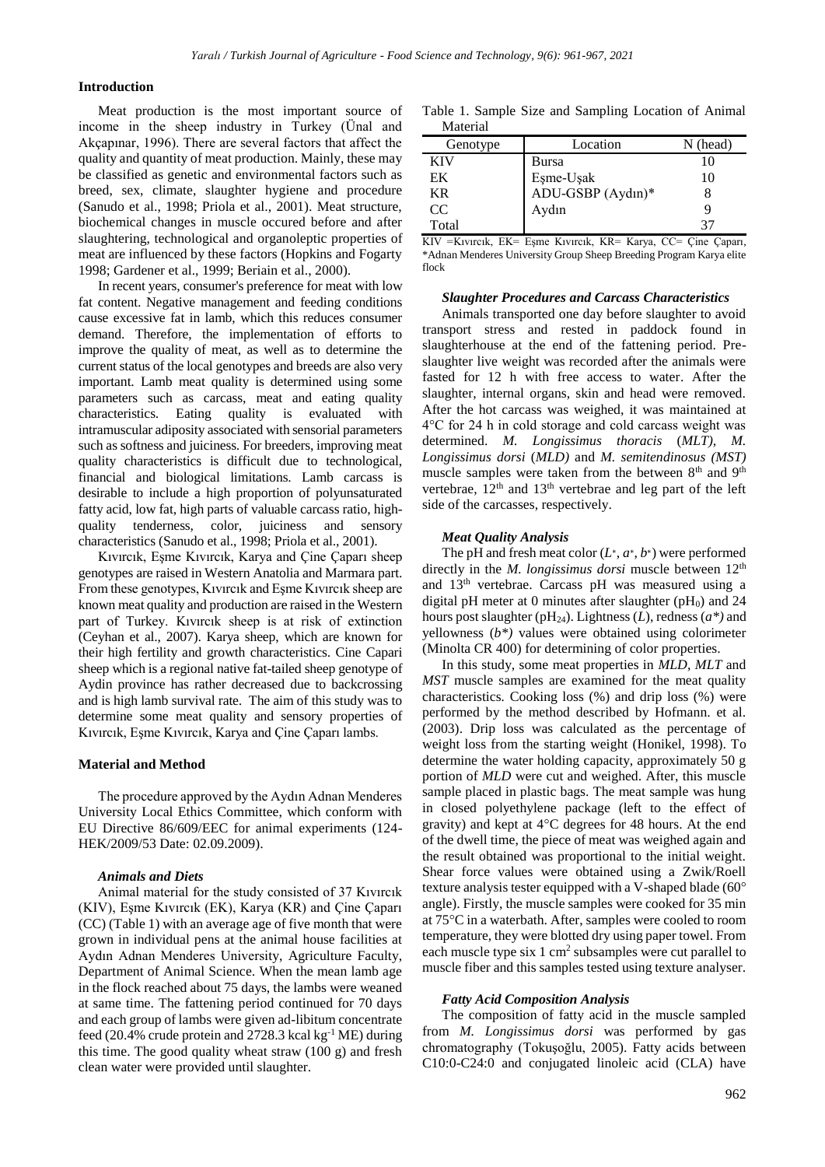#### **Introduction**

Meat production is the most important source of income in the sheep industry in Turkey (Ünal and Akçapınar, 1996). There are several factors that affect the quality and quantity of meat production. Mainly, these may be classified as genetic and environmental factors such as breed, sex, climate, slaughter hygiene and procedure (Sanudo et al., 1998; Priola et al., 2001). Meat structure, biochemical changes in muscle occured before and after slaughtering, technological and organoleptic properties of meat are influenced by these factors (Hopkins and Fogarty 1998; Gardener et al., 1999; Beriain et al., 2000).

In recent years, consumer's preference for meat with low fat content. Negative management and feeding conditions cause excessive fat in lamb, which this reduces consumer demand. Therefore, the implementation of efforts to improve the quality of meat, as well as to determine the current status of the local genotypes and breeds are also very important. Lamb meat quality is determined using some parameters such as carcass, meat and eating quality characteristics. Eating quality is evaluated with intramuscular adiposity associated with sensorial parameters such as softness and juiciness. For breeders, improving meat quality characteristics is difficult due to technological, financial and biological limitations. Lamb carcass is desirable to include a high proportion of polyunsaturated fatty acid, low fat, high parts of valuable carcass ratio, highquality tenderness, color, juiciness and sensory characteristics (Sanudo et al., 1998; Priola et al., 2001).

Kıvırcık, Eşme Kıvırcık, Karya and Çine Çaparı sheep genotypes are raised in Western Anatolia and Marmara part. From these genotypes, Kıvırcık and Eşme Kıvırcık sheep are known meat quality and production are raised in the Western part of Turkey. Kıvırcık sheep is at risk of extinction (Ceyhan et al., 2007). Karya sheep, which are known for their high fertility and growth characteristics. Cine Capari sheep which is a regional native fat-tailed sheep genotype of Aydin province has rather decreased due to backcrossing and is high lamb survival rate. The aim of this study was to determine some meat quality and sensory properties of Kıvırcık, Eşme Kıvırcık, Karya and Çine Çaparı lambs.

### **Material and Method**

The procedure approved by the Aydın Adnan Menderes University Local Ethics Committee, which conform with EU Directive 86/609/EEC for animal experiments (124- HEK/2009/53 Date: 02.09.2009).

# *Animals and Diets*

Animal material for the study consisted of 37 Kıvırcık (KIV), Eşme Kıvırcık (EK), Karya (KR) and Çine Çaparı (CC) (Table 1) with an average age of five month that were grown in individual pens at the animal house facilities at Aydın Adnan Menderes University, Agriculture Faculty, Department of Animal Science. When the mean lamb age in the flock reached about 75 days, the lambs were weaned at same time. The fattening period continued for 70 days and each group of lambs were given ad-libitum concentrate feed (20.4% crude protein and 2728.3 kcal kg $^{-1}$  ME) during this time. The good quality wheat straw (100 g) and fresh clean water were provided until slaughter.

Table 1. Sample Size and Sampling Location of Animal Material

| Genotype   | Location          | N (head) |
|------------|-------------------|----------|
| <b>KIV</b> | Bursa             | 10       |
| EK         | Eşme-Uşak         | 10       |
| KR         | ADU-GSBP (Aydın)* |          |
| CC.        | Aydın             |          |
| Total      |                   | 37       |

KIV =Kıvırcık, EK= Eşme Kıvırcık, KR= Karya, CC= Çine Çaparı, \*Adnan Menderes University Group Sheep Breeding Program Karya elite flock

#### *Slaughter Procedures and Carcass Characteristics*

Animals transported one day before slaughter to avoid transport stress and rested in paddock found in slaughterhouse at the end of the fattening period. Preslaughter live weight was recorded after the animals were fasted for 12 h with free access to water. After the slaughter, internal organs, skin and head were removed. After the hot carcass was weighed, it was maintained at 4°C for 24 h in cold storage and cold carcass weight was determined. *M. Longissimus thoracis* (*MLT), M. Longissimus dorsi* (*MLD)* and *M. semitendinosus (MST)* muscle samples were taken from the between 8<sup>th</sup> and 9<sup>th</sup> vertebrae,  $12<sup>th</sup>$  and  $13<sup>th</sup>$  vertebrae and leg part of the left side of the carcasses, respectively.

#### *Meat Quality Analysis*

The pH and fresh meat color  $(L^*, a^*, b^*)$  were performed directly in the *M. longissimus dorsi* muscle between  $12<sup>th</sup>$ and 13th vertebrae. Carcass pH was measured using a digital pH meter at 0 minutes after slaughter  $(pH_0)$  and 24 hours post slaughter (pH24). Lightness (*L*), redness (*a\*)* and yellowness (*b\*)* values were obtained using colorimeter (Minolta CR 400) for determining of color properties.

In this study, some meat properties in *MLD*, *MLT* and *MST* muscle samples are examined for the meat quality characteristics*.* Cooking loss (%) and drip loss (%) were performed by the method described by Hofmann. et al. (2003). Drip loss was calculated as the percentage of weight loss from the starting weight (Honikel, 1998). To determine the water holding capacity, approximately 50 g portion of *MLD* were cut and weighed. After, this muscle sample placed in plastic bags. The meat sample was hung in closed polyethylene package (left to the effect of gravity) and kept at 4°C degrees for 48 hours. At the end of the dwell time, the piece of meat was weighed again and the result obtained was proportional to the initial weight. Shear force values were obtained using a Zwik/Roell texture analysis tester equipped with a V-shaped blade (60° angle). Firstly, the muscle samples were cooked for 35 min at 75°C in a waterbath. After, samples were cooled to room temperature, they were blotted dry using paper towel. From each muscle type six  $1 \text{ cm}^2$  subsamples were cut parallel to muscle fiber and this samples tested using texture analyser.

### *Fatty Acid Composition Analysis*

The composition of fatty acid in the muscle sampled from *M. Longissimus dorsi* was performed by gas chromatography (Tokuşoğlu, 2005). Fatty acids between C10:0-C24:0 and conjugated linoleic acid (CLA) have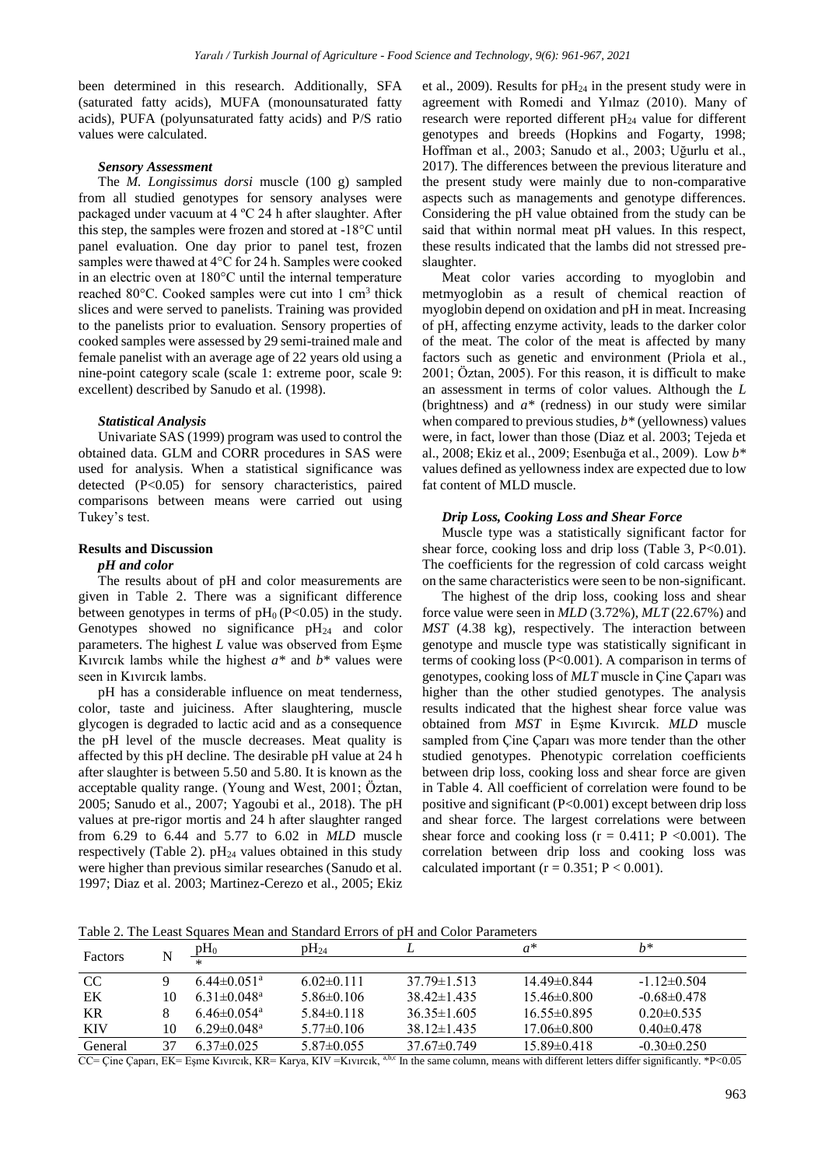been determined in this research. Additionally, SFA (saturated fatty acids), MUFA (monounsaturated fatty acids), PUFA (polyunsaturated fatty acids) and P/S ratio values were calculated.

## *Sensory Assessment*

The *M. Longissimus dorsi* muscle (100 g) sampled from all studied genotypes for sensory analyses were packaged under vacuum at 4 ºC 24 h after slaughter. After this step, the samples were frozen and stored at -18°C until panel evaluation. One day prior to panel test, frozen samples were thawed at 4°C for 24 h. Samples were cooked in an electric oven at 180°C until the internal temperature reached 80°C. Cooked samples were cut into 1 cm<sup>3</sup> thick slices and were served to panelists. Training was provided to the panelists prior to evaluation. Sensory properties of cooked samples were assessed by 29 semi-trained male and female panelist with an average age of 22 years old using a nine-point category scale (scale 1: extreme poor, scale 9: excellent) described by Sanudo et al. (1998).

### *Statistical Analysis*

Univariate SAS (1999) program was used to control the obtained data. GLM and CORR procedures in SAS were used for analysis. When a statistical significance was detected (P<0.05) for sensory characteristics, paired comparisons between means were carried out using Tukey's test.

# **Results and Discussion**

# *pH and color*

The results about of pH and color measurements are given in Table 2. There was a significant difference between genotypes in terms of  $pH<sub>0</sub>$  (P<0.05) in the study. Genotypes showed no significance  $pH_{24}$  and color parameters. The highest *L* value was observed from Eşme Kıvırcık lambs while the highest *a\** and *b\** values were seen in Kıvırcık lambs.

pH has a considerable influence on meat tenderness, color, taste and juiciness. After slaughtering, muscle glycogen is degraded to lactic acid and as a consequence the pH level of the muscle decreases. Meat quality is affected by this pH decline. The desirable pH value at 24 h after slaughter is between 5.50 and 5.80. It is known as the acceptable quality range. (Young and West, 2001; Öztan, 2005; Sanudo et al., 2007; Yagoubi et al., 2018). The pH values at pre-rigor mortis and 24 h after slaughter ranged from 6.29 to 6.44 and 5.77 to 6.02 in *MLD* muscle respectively (Table 2).  $pH_{24}$  values obtained in this study were higher than previous similar researches (Sanudo et al. 1997; Diaz et al. 2003; Martinez-Cerezo et al., 2005; Ekiz et al., 2009). Results for  $pH_{24}$  in the present study were in agreement with Romedi and Yılmaz (2010). Many of research were reported different pH<sup>24</sup> value for different genotypes and breeds (Hopkins and Fogarty, 1998; Hoffman et al., 2003; Sanudo et al., 2003; Uğurlu et al., 2017). The differences between the previous literature and the present study were mainly due to non-comparative aspects such as managements and genotype differences. Considering the pH value obtained from the study can be said that within normal meat pH values. In this respect, these results indicated that the lambs did not stressed preslaughter.

Meat color varies according to myoglobin and metmyoglobin as a result of chemical reaction of myoglobin depend on oxidation and pH in meat. Increasing of pH, affecting enzyme activity, leads to the darker color of the meat. The color of the meat is affected by many factors such as genetic and environment (Priola et al*.*, 2001; Öztan, 2005). For this reason, it is difficult to make an assessment in terms of color values. Although the *L* (brightness) and *a\** (redness) in our study were similar when compared to previous studies, *b\** (yellowness) values were, in fact, lower than those (Diaz et al. 2003; Tejeda et al., 2008; Ekiz et al*.*, 2009; Esenbuğa et al., 2009). Low *b\** values defined as yellowness index are expected due to low fat content of MLD muscle.

### *Drip Loss, Cooking Loss and Shear Force*

Muscle type was a statistically significant factor for shear force, cooking loss and drip loss (Table 3, P<0.01). The coefficients for the regression of cold carcass weight on the same characteristics were seen to be non-significant.

The highest of the drip loss, cooking loss and shear force value were seen in *MLD* (3.72%), *MLT* (22.67%) and *MST* (4.38 kg), respectively. The interaction between genotype and muscle type was statistically significant in terms of cooking loss (P<0.001). A comparison in terms of genotypes, cooking loss of *MLT* muscle in Çine Çaparı was higher than the other studied genotypes. The analysis results indicated that the highest shear force value was obtained from *MST* in Eşme Kıvırcık. *MLD* muscle sampled from Çine Çaparı was more tender than the other studied genotypes. Phenotypic correlation coefficients between drip loss, cooking loss and shear force are given in Table 4. All coefficient of correlation were found to be positive and significant (P<0.001) except between drip loss and shear force. The largest correlations were between shear force and cooking loss  $(r = 0.411; P \lt 0.001)$ . The correlation between drip loss and cooking loss was calculated important ( $r = 0.351$ ;  $P < 0.001$ ).

Table 2. The Least Squares Mean and Standard Errors of pH and Color Parameters

| Factors       |    | $pH_0$                        | $pH_{24}$        |                   | $a^*$             | h*                |
|---------------|----|-------------------------------|------------------|-------------------|-------------------|-------------------|
|               |    | $\ast$                        |                  |                   |                   |                   |
| <sub>CC</sub> |    | $6.44 \pm 0.051$ <sup>a</sup> | $6.02\pm0.111$   | $37.79 \pm 1.513$ | $14.49 \pm 0.844$ | $-1.12\pm0.504$   |
| EK            | 10 | $6.31 \pm 0.048$ <sup>a</sup> | $5.86\pm0.106$   | $38.42 \pm 1.435$ | $15.46 \pm 0.800$ | $-0.68 \pm 0.478$ |
| KR            |    | $6.46 \pm 0.054$ <sup>a</sup> | $5.84\pm0.118$   | $36.35 \pm 1.605$ | $16.55 \pm 0.895$ | $0.20 \pm 0.535$  |
| <b>KIV</b>    | 10 | $6.29 \pm 0.048$ <sup>a</sup> | $5.77 \pm 0.106$ | $38.12 \pm 1.435$ | $17.06 \pm 0.800$ | $0.40 \pm 0.478$  |
| General       | 37 | $6.37\pm0.025$                | $5.87\pm0.055$   | $37.67 \pm 0.749$ | $15.89 \pm 0.418$ | $-0.30\pm0.250$   |

CC= Çine Çaparı, EK= Eşme Kıvırcık, KR= Karya, KIV =Kıvırcık, a,b,c In the same column, means with different letters differ significantly. \*P<0.05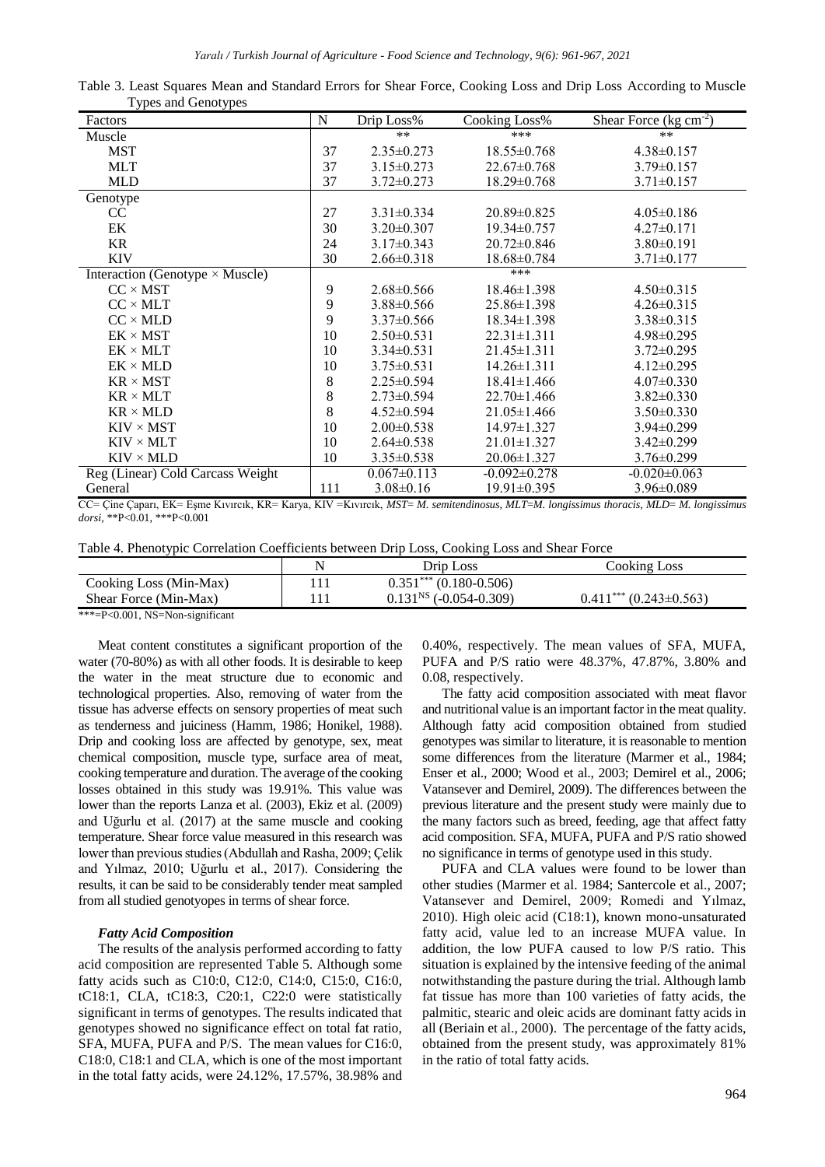| Factors                          | N   | Drip Loss%        | Cooking Loss%      | Shear Force ( $kg \text{ cm}^{-2}$ ) |
|----------------------------------|-----|-------------------|--------------------|--------------------------------------|
| Muscle                           |     | $**$              | ***                | $***$                                |
| <b>MST</b>                       | 37  | $2.35 \pm 0.273$  | $18.55 \pm 0.768$  | $4.38 \pm 0.157$                     |
| <b>MLT</b>                       | 37  | $3.15 \pm 0.273$  | $22.67 \pm 0.768$  | $3.79 \pm 0.157$                     |
| <b>MLD</b>                       | 37  | $3.72 \pm 0.273$  | $18.29 \pm 0.768$  | $3.71 \pm 0.157$                     |
| Genotype                         |     |                   |                    |                                      |
| CC                               | 27  | $3.31 \pm 0.334$  | 20.89±0.825        | $4.05 \pm 0.186$                     |
| EK                               | 30  | $3.20 \pm 0.307$  | $19.34 \pm 0.757$  | $4.27 \pm 0.171$                     |
| <b>KR</b>                        | 24  | $3.17\pm0.343$    | $20.72 \pm 0.846$  | $3.80\pm0.191$                       |
| <b>KIV</b>                       | 30  | $2.66 \pm 0.318$  | $18.68 \pm 0.784$  | $3.71 \pm 0.177$                     |
| Interaction (Genotype × Muscle)  |     |                   | ***                |                                      |
| $CC \times MST$                  | 9   | $2.68 \pm 0.566$  | $18.46 \pm 1.398$  | $4.50 \pm 0.315$                     |
| $CC \times MLT$                  | 9   | $3.88 \pm 0.566$  | $25.86 \pm 1.398$  | $4.26 \pm 0.315$                     |
| $CC \times MLD$                  | 9   | $3.37\pm0.566$    | $18.34 \pm 1.398$  | $3.38 \pm 0.315$                     |
| $EK \times MST$                  | 10  | $2.50 \pm 0.531$  | $22.31 \pm 1.311$  | $4.98 \pm 0.295$                     |
| $EK \times MLT$                  | 10  | $3.34\pm0.531$    | $21.45 \pm 1.311$  | $3.72 \pm 0.295$                     |
| $EK \times MLD$                  | 10  | $3.75 \pm 0.531$  | $14.26 \pm 1.311$  | $4.12 \pm 0.295$                     |
| $KR \times MST$                  | 8   | $2.25 \pm 0.594$  | $18.41 \pm 1.466$  | $4.07 \pm 0.330$                     |
| $KR \times MLT$                  | 8   | $2.73 \pm 0.594$  | $22.70 \pm 1.466$  | $3.82 \pm 0.330$                     |
| $KR \times MLD$                  | 8   | $4.52 \pm 0.594$  | $21.05 \pm 1.466$  | $3.50 \pm 0.330$                     |
| $KIV \times MST$                 | 10  | $2.00 \pm 0.538$  | $14.97 \pm 1.327$  | $3.94 \pm 0.299$                     |
| $KIV \times MLT$                 | 10  | $2.64 \pm 0.538$  | $21.01 \pm 1.327$  | $3.42 \pm 0.299$                     |
| $KIV \times MLD$                 | 10  | $3.35 \pm 0.538$  | $20.06 \pm 1.327$  | $3.76 \pm 0.299$                     |
| Reg (Linear) Cold Carcass Weight |     | $0.067 \pm 0.113$ | $-0.092 \pm 0.278$ | $-0.020 \pm 0.063$                   |
| General                          | 111 | $3.08 \pm 0.16$   | $19.91 \pm 0.395$  | 3.96±0.089                           |

Table 3. Least Squares Mean and Standard Errors for Shear Force, Cooking Loss and Drip Loss According to Muscle Types and Genotypes

CC= Çine Çaparı, EK= Eşme Kıvırcık, KR= Karya, KIV =Kıvırcık, *MST*= *M. semitendinosus, MLT*=*M. longissimus thoracis, MLD*= *M. longissimus dorsi,* \*\*P<0.01, \*\*\*P<0.001

Table 4. Phenotypic Correlation Coefficients between Drip Loss, Cooking Loss and Shear Force

|                        | Drip Loss                | Cooking Loss              |
|------------------------|--------------------------|---------------------------|
| Cooking Loss (Min-Max) | $0.351***(0.180-0.506)$  |                           |
| Shear Force (Min-Max)  | $0.131NS$ (-0.054-0.309) | $0.411***(0.243\pm0.563)$ |
|                        |                          |                           |

\*\*\*=P<0.001, NS=Non-significant

Meat content constitutes a significant proportion of the water (70-80%) as with all other foods. It is desirable to keep the water in the meat structure due to economic and technological properties. Also, removing of water from the tissue has adverse effects on sensory properties of meat such as tenderness and juiciness (Hamm, 1986; Honikel, 1988). Drip and cooking loss are affected by genotype, sex, meat chemical composition, muscle type, surface area of meat, cooking temperature and duration. The average of the cooking losses obtained in this study was 19.91%. This value was lower than the reports Lanza et al. (2003), Ekiz et al. (2009) and Uğurlu et al. (2017) at the same muscle and cooking temperature. Shear force value measured in this research was lower than previous studies (Abdullah and Rasha, 2009; Çelik and Yılmaz, 2010; Uğurlu et al., 2017). Considering the results, it can be said to be considerably tender meat sampled from all studied genotyopes in terms of shear force.

## *Fatty Acid Composition*

The results of the analysis performed according to fatty acid composition are represented Table 5. Although some fatty acids such as C10:0, C12:0, C14:0, C15:0, C16:0, tC18:1, CLA, tC18:3, C20:1, C22:0 were statistically significant in terms of genotypes. The results indicated that genotypes showed no significance effect on total fat ratio, SFA, MUFA, PUFA and P/S. The mean values for C16:0, C18:0, C18:1 and CLA, which is one of the most important in the total fatty acids, were 24.12%, 17.57%, 38.98% and 0.40%, respectively. The mean values of SFA, MUFA, PUFA and P/S ratio were 48.37%, 47.87%, 3.80% and 0.08, respectively.

The fatty acid composition associated with meat flavor and nutritional value is an important factor in the meat quality. Although fatty acid composition obtained from studied genotypes was similar to literature, it is reasonable to mention some differences from the literature (Marmer et al., 1984; Enser et al., 2000; Wood et al., 2003; Demirel et al., 2006; Vatansever and Demirel, 2009). The differences between the previous literature and the present study were mainly due to the many factors such as breed, feeding, age that affect fatty acid composition. SFA, MUFA, PUFA and P/S ratio showed no significance in terms of genotype used in this study.

PUFA and CLA values were found to be lower than other studies (Marmer et al. 1984; Santercole et al., 2007; Vatansever and Demirel, 2009; Romedi and Yılmaz, 2010). High oleic acid (C18:1), known mono-unsaturated fatty acid, value led to an increase MUFA value. In addition, the low PUFA caused to low P/S ratio. This situation is explained by the intensive feeding of the animal notwithstanding the pasture during the trial. Although lamb fat tissue has more than 100 varieties of fatty acids, the palmitic, stearic and oleic acids are dominant fatty acids in all (Beriain et al., 2000). The percentage of the fatty acids, obtained from the present study, was approximately 81% in the ratio of total fatty acids.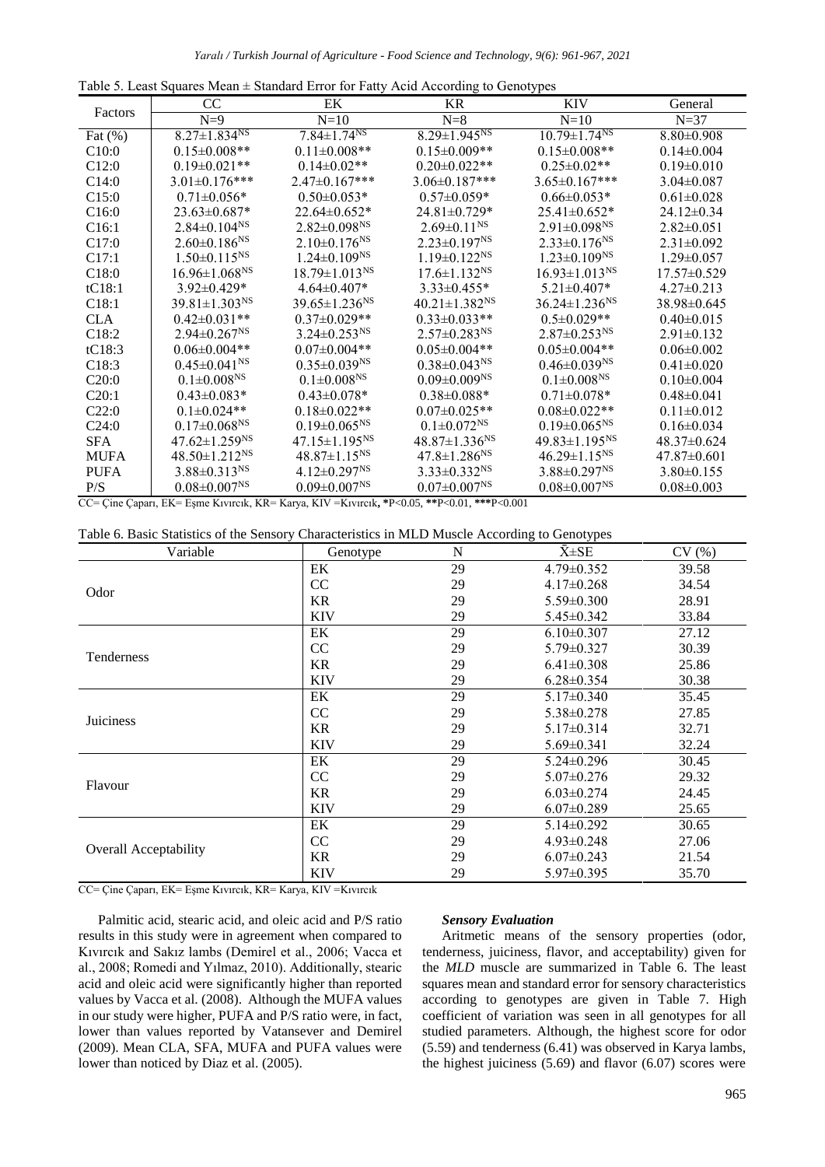| Table 5. Least Squares Mean $\pm$ Standard Error for Fatty Acid According to Genotypes |
|----------------------------------------------------------------------------------------|
|----------------------------------------------------------------------------------------|

|                   | CC.                             | EK                              | <b>KR</b>                       | <b>KIV</b>                      | General           |
|-------------------|---------------------------------|---------------------------------|---------------------------------|---------------------------------|-------------------|
| Factors           | $N=9$                           | $N=10$                          | $N=8$                           | $N=10$                          | $N=37$            |
| Fat $(\%)$        | $8.27 \pm 1.834^{NS}$           | $7.84 \pm 1.74^{NS}$            | $8.29 \pm 1.945^{NS}$           | $10.79 \pm 1.74^{NS}$           | $8.80 \pm 0.908$  |
| C10:0             | $0.15 \pm 0.008$ **             | $0.11 \pm 0.008$ **             | $0.15 \pm 0.009**$              | $0.15 \pm 0.008$ **             | $0.14 \pm 0.004$  |
| C12:0             | $0.19 \pm 0.021$ **             | $0.14 \pm 0.02**$               | $0.20 \pm 0.022**$              | $0.25 \pm 0.02$ **              | $0.19 \pm 0.010$  |
| C14:0             | $3.01 \pm 0.176$ ***            | $2.47 \pm 0.167$ ***            | $3.06 \pm 0.187$ ***            | $3.65 \pm 0.167$ ***            | $3.04 \pm 0.087$  |
| C15:0             | $0.71 \pm 0.056*$               | $0.50 \pm 0.053*$               | $0.57 \pm 0.059*$               | $0.66 \pm 0.053*$               | $0.61 \pm 0.028$  |
| C16:0             | $23.63 \pm 0.687*$              | $22.64\pm0.652*$                | 24.81±0.729*                    | $25.41 \pm 0.652*$              | $24.12\pm0.34$    |
| C16:1             | $2.84 \pm 0.104$ <sup>NS</sup>  | $2.82 \pm 0.098^{NS}$           | $2.69 \pm 0.11$ <sup>NS</sup>   | $2.91 \pm 0.098$ <sup>NS</sup>  | $2.82\pm0.051$    |
| C17:0             | $2.60 \pm 0.186$ <sup>NS</sup>  | $2.10\pm0.176^{NS}$             | $2.23 \pm 0.197$ <sup>NS</sup>  | $2.33 \pm 0.176$ <sup>NS</sup>  | $2.31 \pm 0.092$  |
| C17:1             | $1.50 \pm 0.115^{NS}$           | $1.24 \pm 0.109^{NS}$           | $1.19 \pm 0.122$ <sup>NS</sup>  | $1.23 \pm 0.109^{NS}$           | $1.29 \pm 0.057$  |
| C18:0             | $16.96 \pm 1.068$ <sup>NS</sup> | $18.79 \pm 1.013$ <sup>NS</sup> | $17.6 \pm 1.132$ <sup>NS</sup>  | $16.93 \pm 1.013$ <sup>NS</sup> | $17.57\pm0.529$   |
| tC18:1            | $3.92 \pm 0.429*$               | $4.64 \pm 0.407*$               | $3.33 \pm 0.455*$               | $5.21 \pm 0.407*$               | $4.27\pm0.213$    |
| C18:1             | $39.81 \pm 1.303$ <sup>NS</sup> | $39.65 \pm 1.236$ <sup>NS</sup> | $40.21 \pm 1.382$ <sup>NS</sup> | $36.24 \pm 1.236$ <sup>NS</sup> | 38.98±0.645       |
| CLA.              | $0.42 \pm 0.031$ **             | $0.37 \pm 0.029**$              | $0.33 \pm 0.033$ **             | $0.5 \pm 0.029**$               | $0.40\pm0.015$    |
| C <sub>18:2</sub> | $2.94 \pm 0.267$ <sup>NS</sup>  | $3.24 \pm 0.253$ <sup>NS</sup>  | $2.57 \pm 0.283$ <sup>NS</sup>  | $2.87 \pm 0.253$ <sup>NS</sup>  | $2.91 \pm 0.132$  |
| tC18:3            | $0.06 \pm 0.004**$              | $0.07 \pm 0.004$ **             | $0.05 \pm 0.004**$              | $0.05 \pm 0.004**$              | $0.06 \pm 0.002$  |
| C18:3             | $0.45 \pm 0.041^{\text{NS}}$    | $0.35 \pm 0.039$ <sup>NS</sup>  | $0.38 \pm 0.043$ <sup>NS</sup>  | $0.46 \pm 0.039$ <sup>NS</sup>  | $0.41 \pm 0.020$  |
| C20:0             | $0.1 \pm 0.008$ <sup>NS</sup>   | $0.1 \pm 0.008^{NS}$            | $0.09 \pm 0.009$ <sup>NS</sup>  | $0.1 \pm 0.008$ <sup>NS</sup>   | $0.10 \pm 0.004$  |
| C20:1             | $0.43 \pm 0.083*$               | $0.43 \pm 0.078*$               | $0.38 \pm 0.088*$               | $0.71 \pm 0.078*$               | $0.48 \pm 0.041$  |
| C22:0             | $0.1 \pm 0.024**$               | $0.18 \pm 0.022**$              | $0.07 \pm 0.025$ **             | $0.08 \pm 0.022**$              | $0.11 \pm 0.012$  |
| C24:0             | $0.17 \pm 0.068$ <sup>NS</sup>  | $0.19 \pm 0.065$ <sup>NS</sup>  | $0.1 \pm 0.072^{NS}$            | $0.19 \pm 0.065^{NS}$           | $0.16 \pm 0.034$  |
| <b>SFA</b>        | $47.62 \pm 1.259$ <sup>NS</sup> | $47.15 \pm 1.195^{NS}$          | $48.87 \pm 1.336$ <sup>NS</sup> | $49.83 \pm 1.195^{NS}$          | 48.37±0.624       |
| <b>MUFA</b>       | $48.50 \pm 1.212$ <sup>NS</sup> | $48.87 \pm 1.15$ <sup>NS</sup>  | $47.8 \pm 1.286$ <sup>NS</sup>  | $46.29 \pm 1.15$ <sup>NS</sup>  | $47.87 \pm 0.601$ |
| <b>PUFA</b>       | $3.88 \pm 0.313$ <sup>NS</sup>  | $4.12 \pm 0.297$ <sup>NS</sup>  | $3.33 \pm 0.332$ <sup>NS</sup>  | $3.88 \pm 0.297$ <sup>NS</sup>  | $3.80\pm0.155$    |
| P/S               | $0.08 \pm 0.007^{NS}$           | $0.09 \pm 0.007^{NS}$           | $0.07 \pm 0.007$ <sup>NS</sup>  | $0.08 \pm 0.007$ <sup>NS</sup>  | $0.08 \pm 0.003$  |

CC= Çine Çaparı, EK= Eşme Kıvırcık, KR= Karya, KIV =Kıvırcık**, \***P<0.05, **\*\***P<0.01, **\*\*\***P<0.001

| Table 6. Basic Statistics of the Sensory Characteristics in MLD Muscle According to Genotypes |  |  |  |  |  |
|-----------------------------------------------------------------------------------------------|--|--|--|--|--|
|-----------------------------------------------------------------------------------------------|--|--|--|--|--|

| Variable                     | Genotype      | N  | $\bar{X} \pm SE$ | CV(%) |
|------------------------------|---------------|----|------------------|-------|
|                              | EK            | 29 | $4.79 \pm 0.352$ | 39.58 |
|                              | <sub>CC</sub> | 29 | $4.17 \pm 0.268$ | 34.54 |
| Odor                         | <b>KR</b>     | 29 | $5.59 \pm 0.300$ | 28.91 |
|                              | <b>KIV</b>    | 29 | $5.45 \pm 0.342$ | 33.84 |
|                              | EK            | 29 | $6.10\pm0.307$   | 27.12 |
|                              | <sub>CC</sub> | 29 | $5.79 \pm 0.327$ | 30.39 |
| Tenderness                   | <b>KR</b>     | 29 | $6.41 \pm 0.308$ | 25.86 |
|                              | <b>KIV</b>    | 29 | $6.28 \pm 0.354$ | 30.38 |
|                              | EK            | 29 | $5.17 \pm 0.340$ | 35.45 |
|                              | CC            | 29 | $5.38 \pm 0.278$ | 27.85 |
| Juiciness                    | <b>KR</b>     | 29 | $5.17 \pm 0.314$ | 32.71 |
|                              | <b>KIV</b>    | 29 | $5.69 \pm 0.341$ | 32.24 |
|                              | EK            | 29 | $5.24 \pm 0.296$ | 30.45 |
|                              | <sub>CC</sub> | 29 | $5.07 \pm 0.276$ | 29.32 |
| Flavour                      | KR            | 29 | $6.03 \pm 0.274$ | 24.45 |
|                              | <b>KIV</b>    | 29 | $6.07 \pm 0.289$ | 25.65 |
|                              | EK            | 29 | $5.14 \pm 0.292$ | 30.65 |
|                              | <sub>CC</sub> | 29 | $4.93 \pm 0.248$ | 27.06 |
| <b>Overall Acceptability</b> | KR            | 29 | $6.07 \pm 0.243$ | 21.54 |
|                              | <b>KIV</b>    | 29 | $5.97 \pm 0.395$ | 35.70 |

CC= Çine Çaparı, EK= Eşme Kıvırcık, KR= Karya, KIV =Kıvırcık

Palmitic acid, stearic acid, and oleic acid and P/S ratio results in this study were in agreement when compared to Kıvırcık and Sakız lambs (Demirel et al., 2006; Vacca et al., 2008; Romedi and Yılmaz, 2010). Additionally, stearic acid and oleic acid were significantly higher than reported values by Vacca et al. (2008). Although the MUFA values in our study were higher, PUFA and P/S ratio were, in fact, lower than values reported by Vatansever and Demirel (2009). Mean CLA, SFA, MUFA and PUFA values were lower than noticed by Diaz et al. (2005).

## *Sensory Evaluation*

Aritmetic means of the sensory properties (odor, tenderness, juiciness, flavor, and acceptability) given for the *MLD* muscle are summarized in Table 6. The least squares mean and standard error for sensory characteristics according to genotypes are given in Table 7. High coefficient of variation was seen in all genotypes for all studied parameters. Although, the highest score for odor (5.59) and tenderness (6.41) was observed in Karya lambs, the highest juiciness (5.69) and flavor (6.07) scores were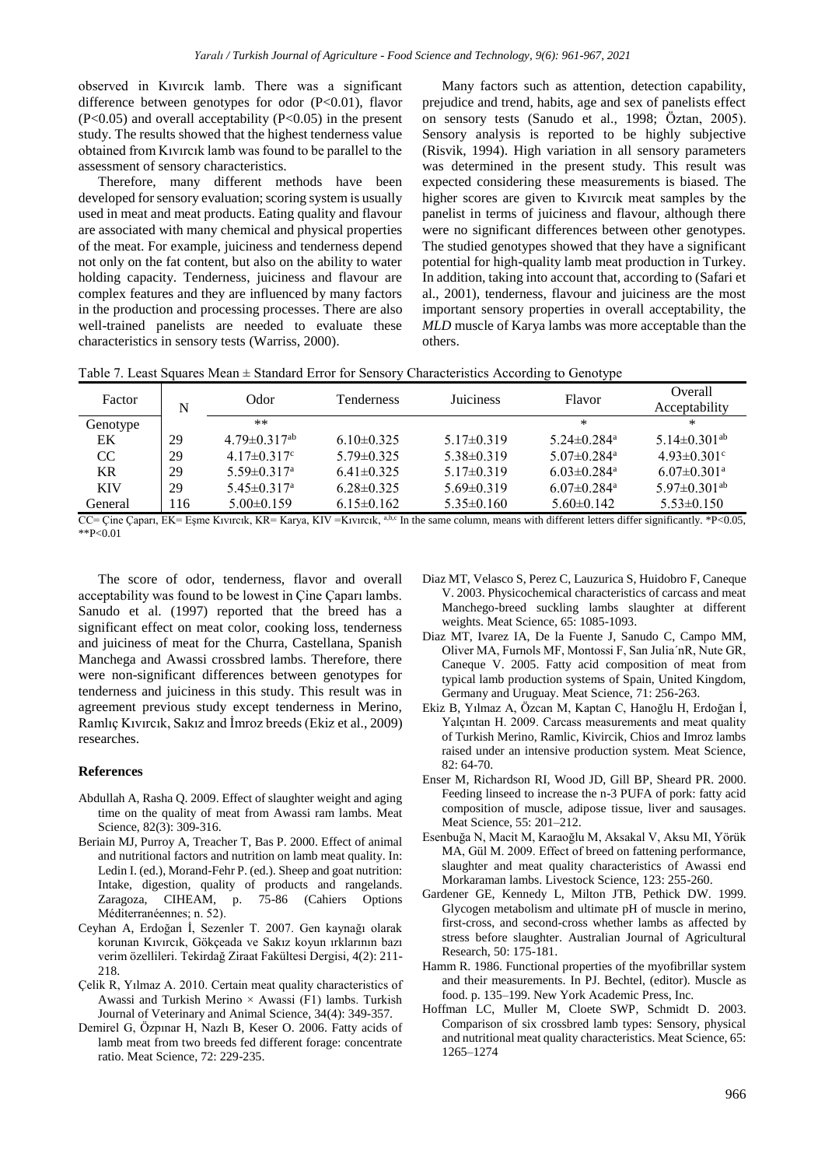observed in Kıvırcık lamb. There was a significant difference between genotypes for odor (P<0.01), flavor  $(P<0.05)$  and overall acceptability  $(P<0.05)$  in the present study. The results showed that the highest tenderness value obtained from Kıvırcık lamb was found to be parallel to the assessment of sensory characteristics.

Therefore, many different methods have been developed for sensory evaluation; scoring system is usually used in meat and meat products. Eating quality and flavour are associated with many chemical and physical properties of the meat. For example, juiciness and tenderness depend not only on the fat content, but also on the ability to water holding capacity. Tenderness, juiciness and flavour are complex features and they are influenced by many factors in the production and processing processes. There are also well-trained panelists are needed to evaluate these characteristics in sensory tests (Warriss, 2000).

Many factors such as attention, detection capability, prejudice and trend, habits, age and sex of panelists effect on sensory tests (Sanudo et al., 1998; Öztan, 2005). Sensory analysis is reported to be highly subjective (Risvik, 1994). High variation in all sensory parameters was determined in the present study. This result was expected considering these measurements is biased. The higher scores are given to Kıvırcık meat samples by the panelist in terms of juiciness and flavour, although there were no significant differences between other genotypes. The studied genotypes showed that they have a significant potential for high-quality lamb meat production in Turkey. In addition, taking into account that, according to (Safari et al., 2001), tenderness, flavour and juiciness are the most important sensory properties in overall acceptability, the *MLD* muscle of Karya lambs was more acceptable than the others.

| Table 7. Least Squares Mean $\pm$ Standard Error for Sensory Characteristics According to Genotype |  |  |  |
|----------------------------------------------------------------------------------------------------|--|--|--|
|                                                                                                    |  |  |  |

| Factor     | N   | Odor                           | <b>Tenderness</b> | <b>Juiciness</b> | Flavor                        | Overall<br>Acceptability       |
|------------|-----|--------------------------------|-------------------|------------------|-------------------------------|--------------------------------|
| Genotype   |     | $**$                           |                   |                  | $\ast$                        | ∗                              |
| EK         | 29  | $4.79 \pm 0.317$ <sup>ab</sup> | $6.10\pm0.325$    | $5.17\pm0.319$   | $5.24 \pm 0.284$ <sup>a</sup> | 5.14 $\pm$ 0.301 <sup>ab</sup> |
| CC         | 29  | $4.17 \pm 0.317$ °             | $5.79 \pm 0.325$  | $5.38\pm0.319$   | $5.07 \pm 0.284$ <sup>a</sup> | $4.93 \pm 0.301$ °             |
| KR.        | 29  | $5.59 \pm 0.317$ <sup>a</sup>  | $6.41\pm0.325$    | $5.17\pm0.319$   | $6.03 \pm 0.284$ <sup>a</sup> | $6.07 \pm 0.301$ <sup>a</sup>  |
| <b>KIV</b> | 29  | $5.45 \pm 0.317$ <sup>a</sup>  | $6.28\pm0.325$    | $5.69\pm0.319$   | $6.07 \pm 0.284$ <sup>a</sup> | $5.97\pm0.301$ <sup>ab</sup>   |
| General    | 116 | $5.00\pm0.159$                 | $6.15\pm0.162$    | $5.35 \pm 0.160$ | $5.60\pm0.142$                | $5.53 \pm 0.150$               |

CC= Çine Çaparı, EK= Eşme Kıvırcık, KR= Karya, KIV =Kıvırcık, a,b,c In the same column, means with different letters differ significantly. \*P<0.05, \*\*P<0.01

The score of odor, tenderness, flavor and overall acceptability was found to be lowest in Çine Çaparı lambs. Sanudo et al. (1997) reported that the breed has a significant effect on meat color, cooking loss, tenderness and juiciness of meat for the Churra, Castellana, Spanish Manchega and Awassi crossbred lambs. Therefore, there were non-significant differences between genotypes for tenderness and juiciness in this study. This result was in agreement previous study except tenderness in Merino, Ramlıç Kıvırcık, Sakız and İmroz breeds (Ekiz et al., 2009) researches.

# **References**

- Abdullah A, Rasha Q. 2009. Effect of slaughter weight and aging time on the quality of meat from Awassi ram lambs. Meat Science, 82(3): 309-316.
- Beriain MJ, Purroy A, Treacher T, Bas P. 2000. Effect of animal and nutritional factors and nutrition on lamb meat quality. In: Ledin I. (ed.), Morand-Fehr P. (ed.). Sheep and goat nutrition: Intake, digestion, quality of products and rangelands. Zaragoza, CIHEAM, p. 75-86 (Cahiers Options Méditerranéennes; n. 52).
- Ceyhan A, Erdoğan İ, Sezenler T. 2007. Gen kaynağı olarak korunan Kıvırcık, Gökçeada ve Sakız koyun ırklarının bazı verim özellileri. Tekirdağ Ziraat Fakültesi Dergisi, 4(2): 211- 218.
- Çelik R, Yılmaz A. 2010. Certain meat quality characteristics of Awassi and Turkish Merino × Awassi (F1) lambs. Turkish Journal of Veterinary and Animal Science, 34(4): 349-357.
- Demirel G, Özpınar H, Nazlı B, Keser O. 2006. Fatty acids of lamb meat from two breeds fed different forage: concentrate ratio. Meat Science, 72: 229-235.
- Diaz MT, Velasco S, Perez C, Lauzurica S, Huidobro F, Caneque V. 2003. Physicochemical characteristics of carcass and meat Manchego-breed suckling lambs slaughter at different weights. Meat Science, 65: 1085-1093.
- Diaz MT, Ivarez IA, De la Fuente J, Sanudo C, Campo MM, Oliver MA, Furnols MF, Montossi F, San Julia´nR, Nute GR, Caneque V. 2005. Fatty acid composition of meat from typical lamb production systems of Spain, United Kingdom, Germany and Uruguay. Meat Science, 71: 256-263.
- Ekiz B, Yılmaz A, Özcan M, Kaptan C, Hanoğlu H, Erdoğan İ, Yalçıntan H. 2009. Carcass measurements and meat quality of Turkish Merino, Ramlic, Kivircik, Chios and Imroz lambs raised under an intensive production system. Meat Science, 82: 64-70.
- Enser M, Richardson RI, Wood JD, Gill BP, Sheard PR. 2000. Feeding linseed to increase the n-3 PUFA of pork: fatty acid composition of muscle, adipose tissue, liver and sausages. Meat Science, 55: 201–212.
- Esenbuğa N, Macit M, Karaoğlu M, Aksakal V, Aksu MI, Yörük MA, Gül M. 2009. Effect of breed on fattening performance, slaughter and meat quality characteristics of Awassi end Morkaraman lambs. Livestock Science, 123: 255-260.
- Gardener GE, Kennedy L, Milton JTB, Pethick DW. 1999. Glycogen metabolism and ultimate pH of muscle in merino, first-cross, and second-cross whether lambs as affected by stress before slaughter. Australian Journal of Agricultural Research, 50: 175-181.
- Hamm R. 1986. Functional properties of the myofibrillar system and their measurements. In PJ. Bechtel, (editor). Muscle as food. p. 135–199. New York Academic Press, Inc.
- Hoffman LC, Muller M, Cloete SWP, Schmidt D. 2003. Comparison of six crossbred lamb types: Sensory, physical and nutritional meat quality characteristics. Meat Science, 65: 1265–1274